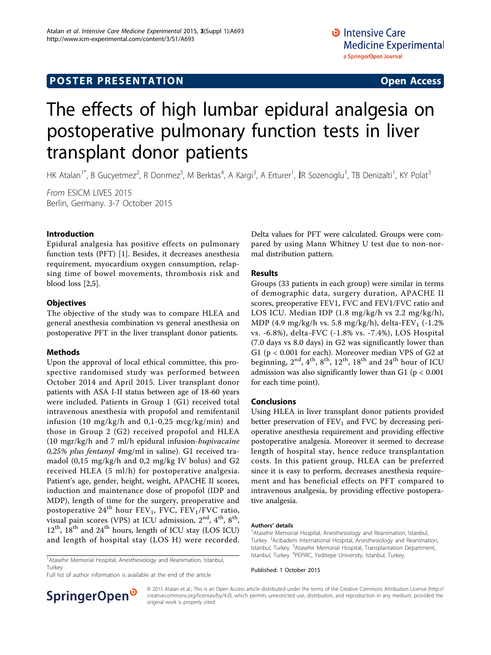## **POSTER PRESENTATION CONSUMING ACCESS**

# The effects of high lumbar epidural analgesia on postoperative pulmonary function tests in liver transplant donor patients

HK Atalan<sup>1\*</sup>, B Gucyetmez<sup>2</sup>, R Donmez<sup>3</sup>, M Berktas<sup>4</sup>, A Kargi<sup>3</sup>, A Erturer<sup>1</sup>, İR Sozenoglu<sup>1</sup>, TB Denizalti<sup>1</sup>, KY Polat<sup>3</sup>

From ESICM LIVES 2015 Berlin, Germany. 3-7 October 2015

#### Introduction

Epidural analgesia has positive effects on pulmonary function tests (PFT) [\[1](#page-1-0)]. Besides, it decreases anesthesia requirement, myocardium oxygen consumption, relapsing time of bowel movements, thrombosis risk and blood loss [\[2](#page-1-0),[5](#page-1-0)].

#### **Objectives**

The objective of the study was to compare HLEA and general anesthesia combination vs general anesthesia on postoperative PFT in the liver transplant donor patients.

#### Methods

Upon the approval of local ethical committee, this prospective randomised study was performed between October 2014 and April 2015. Liver transplant donor patients with ASA I-II status between age of 18-60 years were included. Patients in Group 1 (G1) received total intravenous anesthesia with propofol and remifentanil infusion (10 mg/kg/h and 0,1-0,25 mcg/kg/min) and those in Group 2 (G2) received propofol and HLEA (10 mgr/kg/h and 7 ml/h epidural infusion-bupivacaine 0,25% plus fentanyl 4mg/ml in saline). G1 received tramadol (0,15 mg/kg/h and 0,2 mg/kg IV bolus) and G2 received HLEA (5 ml/h) for postoperative analgesia. Patient's age, gender, height, weight, APACHE II scores, induction and maintenance dose of propofol (IDP and MDP), length of time for the surgery, preoperative and postoperative 24<sup>th</sup> hour FEV<sub>1</sub>, FVC, FEV<sub>1</sub>/FVC ratio, visual pain scores (VPS) at ICU admission,  $2<sup>nd</sup>$ ,  $4<sup>th</sup>$ ,  $8<sup>th</sup>$ ,  $12<sup>th</sup>$ ,  $18<sup>th</sup>$  and  $24<sup>th</sup>$  hours, length of ICU stay (LOS ICU) and length of hospital stay (LOS H) were recorded.

<sup>1</sup> Atasehir Memorial Hospital, Anesthesiology and Reanimation, Istanbul, Turkey

Full list of author information is available at the end of the article



#### Results

Groups (33 patients in each group) were similar in terms of demographic data, surgery duration, APACHE II scores, preoperative FEV1, FVC and FEV1/FVC ratio and LOS ICU. Median IDP (1.8 mg/kg/h vs 2.2 mg/kg/h), MDP (4.9 mg/kg/h vs. 5.8 mg/kg/h), delta-FEV<sub>1</sub> (-1.2%) vs. -6.8%), delta-FVC (-1.8% vs. -7.4%), LOS Hospital (7.0 days vs 8.0 days) in G2 was significantly lower than G1 (p < 0.001 for each). Moreover median VPS of G2 at beginning,  $2^{nd}$ ,  $4^{th}$ ,  $8^{th}$ ,  $12^{th}$ ,  $18^{th}$  and  $24^{th}$  hour of ICU admission was also significantly lower than G1 ( $p < 0.001$ ) for each time point).

#### Conclusions

Using HLEA in liver transplant donor patients provided better preservation of  $FEV<sub>1</sub>$  and FVC by decreasing perioperative anesthesia requirement and providing effective postoperative analgesia. Moreover it seemed to decrease length of hospital stay, hence reduce transplantation costs. In this patient group, HLEA can be preferred since it is easy to perform, decreases anesthesia requirement and has beneficial effects on PFT compared to intravenous analgesia, by providing effective postoperative analgesia.

#### Authors' details <sup>1</sup>

<sup>1</sup> Atasehir Memorial Hospital, Anesthesiology and Reanimation, Istanbul, Turkey. <sup>2</sup> Acibadem International HospitaI, Anesthesiology and Reanimation, Istanbul, Turkey. <sup>3</sup>Atasehir Memorial Hospital, Transplantation Department, Istanbul, Turkey. <sup>4</sup>PEPIRC, Yeditepe University, Istanbul, Turkey.

Published: 1 October 2015



© 2015 Atalan et al.; This is an Open Access article distributed under the terms of the Creative Commons Attribution License [\(http://](http://creativecommons.org/licenses/by/4.0) [creativecommons.org/licenses/by/4.0](http://creativecommons.org/licenses/by/4.0)), which permits unrestricted use, distribution, and reproduction in any medium, provided the original work is properly cited.